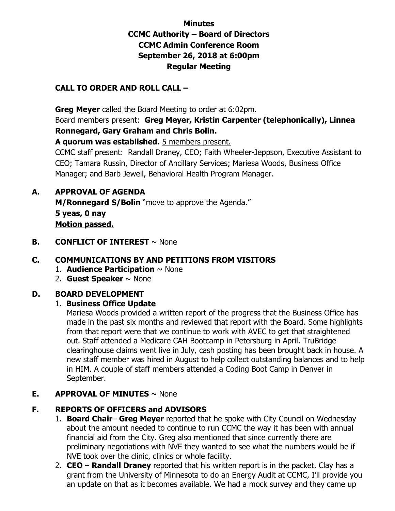# **Minutes CCMC Authority – Board of Directors CCMC Admin Conference Room September 26, 2018 at 6:00pm Regular Meeting**

## **CALL TO ORDER AND ROLL CALL –**

 **Greg Meyer** called the Board Meeting to order at 6:02pm.

Board members present: **Greg Meyer, Kristin Carpenter (telephonically), Linnea Ronnegard, Gary Graham and Chris Bolin.** 

**A quorum was established.** 5 members present.

CCMC staff present: Randall Draney, CEO; Faith Wheeler-Jeppson, Executive Assistant to CEO; Tamara Russin, Director of Ancillary Services; Mariesa Woods, Business Office Manager; and Barb Jewell, Behavioral Health Program Manager.

### **A. APPROVAL OF AGENDA**

**M/Ronnegard S/Bolin** "move to approve the Agenda." **5 yeas, 0 nay** 

**Motion passed.** 

**B. CONFLICT OF INTEREST**  $\sim$  None

## **C. COMMUNICATIONS BY AND PETITIONS FROM VISITORS**

- 1. **Audience Participation** ~ None
- 2. **Guest Speaker** ~ None

### **D. BOARD DEVELOPMENT**

#### 1. **Business Office Update**

 Mariesa Woods provided a written report of the progress that the Business Office has made in the past six months and reviewed that report with the Board. Some highlights from that report were that we continue to work with AVEC to get that straightened out. Staff attended a Medicare CAH Bootcamp in Petersburg in April. TruBridge clearinghouse claims went live in July, cash posting has been brought back in house. A new staff member was hired in August to help collect outstanding balances and to help in HIM. A couple of staff members attended a Coding Boot Camp in Denver in September.

### **E. APPROVAL OF MINUTES** ~ None

### **F. REPORTS OF OFFICERS and ADVISORS**

- 1. **Board Chair Greg Meyer** reported that he spoke with City Council on Wednesday about the amount needed to continue to run CCMC the way it has been with annual financial aid from the City. Greg also mentioned that since currently there are preliminary negotiations with NVE they wanted to see what the numbers would be if NVE took over the clinic, clinics or whole facility.
- 2. **CEO Randall Draney** reported that his written report is in the packet. Clay has a grant from the University of Minnesota to do an Energy Audit at CCMC, I'll provide you an update on that as it becomes available. We had a mock survey and they came up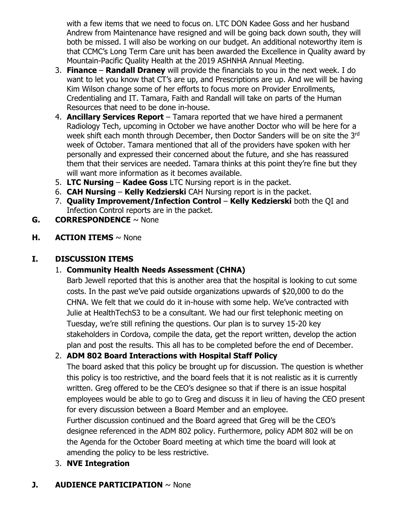with a few items that we need to focus on. LTC DON Kadee Goss and her husband Andrew from Maintenance have resigned and will be going back down south, they will both be missed. I will also be working on our budget. An additional noteworthy item is that CCMC's Long Term Care unit has been awarded the Excellence in Quality award by Mountain-Pacific Quality Health at the 2019 ASHNHA Annual Meeting.

- 3. **Finance Randall Draney** will provide the financials to you in the next week. I do want to let you know that CT's are up, and Prescriptions are up. And we will be having Kim Wilson change some of her efforts to focus more on Provider Enrollments, Credentialing and IT. Tamara, Faith and Randall will take on parts of the Human Resources that need to be done in-house.
- 4. **Ancillary Services Report**  Tamara reported that we have hired a permanent Radiology Tech, upcoming in October we have another Doctor who will be here for a week shift each month through December, then Doctor Sanders will be on site the 3rd week of October. Tamara mentioned that all of the providers have spoken with her personally and expressed their concerned about the future, and she has reassured them that their services are needed. Tamara thinks at this point they're fine but they will want more information as it becomes available.
- 5. **LTC Nursing Kadee Goss** LTC Nursing report is in the packet.
- 6. **CAH Nursing Kelly Kedzierski** CAH Nursing report is in the packet.
- 7. **Quality Improvement/Infection Control Kelly Kedzierski** both the QI and Infection Control reports are in the packet.
- **G. CORRESPONDENCE** ~ None
- **H. ACTION ITEMS** ~ None

# **I. DISCUSSION ITEMS**

# 1. **Community Health Needs Assessment (CHNA)**

Barb Jewell reported that this is another area that the hospital is looking to cut some costs. In the past we've paid outside organizations upwards of \$20,000 to do the CHNA. We felt that we could do it in-house with some help. We've contracted with Julie at HealthTechS3 to be a consultant. We had our first telephonic meeting on Tuesday, we're still refining the questions. Our plan is to survey 15-20 key stakeholders in Cordova, compile the data, get the report written, develop the action plan and post the results. This all has to be completed before the end of December.

## 2. **ADM 802 Board Interactions with Hospital Staff Policy**

The board asked that this policy be brought up for discussion. The question is whether this policy is too restrictive, and the board feels that it is not realistic as it is currently written. Greg offered to be the CEO's designee so that if there is an issue hospital employees would be able to go to Greg and discuss it in lieu of having the CEO present for every discussion between a Board Member and an employee.

Further discussion continued and the Board agreed that Greg will be the CEO's designee referenced in the ADM 802 policy. Furthermore, policy ADM 802 will be on the Agenda for the October Board meeting at which time the board will look at amending the policy to be less restrictive.

3. **NVE Integration** 

# **J. AUDIENCE PARTICIPATION**  $\sim$  None